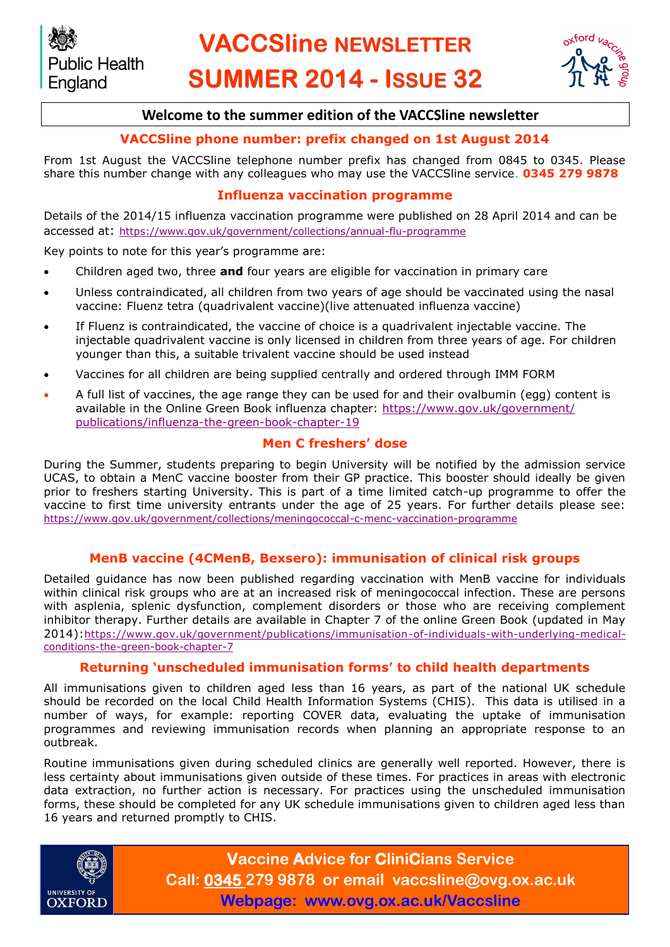# **VACCSline NEWSLETTER SUMMER 2014 - ISSUE 32**



## **Welcome to the summer edition of the VACCSline newsletter**

# **VACCSline phone number: prefix changed on 1st August 2014**

From 1st August the VACCSline telephone number prefix has changed from 0845 to 0345. Please share this number change with any colleagues who may use the VACCSline service. **0345 279 9878**

#### **Influenza vaccination programme**

Details of the 2014/15 influenza vaccination programme were published on 28 April 2014 and can be accessed at: <https://www.gov.uk/government/collections/annual-flu-programme>

Key points to note for this year's programme are:

- Children aged two, three **and** four years are eligible for vaccination in primary care
- Unless contraindicated, all children from two years of age should be vaccinated using the nasal vaccine: Fluenz tetra (quadrivalent vaccine)(live attenuated influenza vaccine)
- If Fluenz is contraindicated, the vaccine of choice is a quadrivalent injectable vaccine. The injectable quadrivalent vaccine is only licensed in children from three years of age. For children younger than this, a suitable trivalent vaccine should be used instead
- Vaccines for all children are being supplied centrally and ordered through IMM FORM
- A full list of vaccines, the age range they can be used for and their ovalbumin (egg) content is available in the Online Green Book influenza chapter: [https://www.gov.uk/government/](https://www.gov.uk/government/publications/influenza-the-green-book-chapter-19) [publications/influenza-the-green-book-chapter-19](https://www.gov.uk/government/publications/influenza-the-green-book-chapter-19)

#### **Men C freshers' dose**

During the Summer, students preparing to begin University will be notified by the admission service UCAS, to obtain a MenC vaccine booster from their GP practice. This booster should ideally be given prior to freshers starting University. This is part of a time limited catch-up programme to offer the vaccine to first time university entrants under the age of 25 years. For further details please see: <https://www.gov.uk/government/collections/meningococcal-c-menc-vaccination-programme>

#### **MenB vaccine (4CMenB, Bexsero): immunisation of clinical risk groups**

Detailed guidance has now been published regarding vaccination with MenB vaccine for individuals within clinical risk groups who are at an increased risk of meningococcal infection. These are persons with asplenia, splenic dysfunction, complement disorders or those who are receiving complement inhibitor therapy. Further details are available in Chapter 7 of the online Green Book (updated in May 2014):[https://www.gov.uk/government/publications/immunisation-of-individuals-with-underlying-medical](https://www.gov.uk/government/publications/immunisation-of-individuals-with-underlying-medical-conditions-the-green-book-chapter-7)[conditions-the-green-book-chapter-7](https://www.gov.uk/government/publications/immunisation-of-individuals-with-underlying-medical-conditions-the-green-book-chapter-7)

#### **Returning 'unscheduled immunisation forms' to child health departments**

All immunisations given to children aged less than 16 years, as part of the national UK schedule should be recorded on the local Child Health Information Systems (CHIS). This data is utilised in a number of ways, for example: reporting COVER data, evaluating the uptake of immunisation programmes and reviewing immunisation records when planning an appropriate response to an outbreak.

Routine immunisations given during scheduled clinics are generally well reported. However, there is less certainty about immunisations given outside of these times. For practices in areas with electronic data extraction, no further action is necessary. For practices using the unscheduled immunisation forms, these should be completed for any UK schedule immunisations given to children aged less than 16 years and returned promptly to CHIS.



**Vaccine Advice for CliniCians Service Call: 0345 279 9878 or email vaccsline@ovg.ox.ac.uk Webpage: www.ovg.ox.ac.uk/Vaccsline**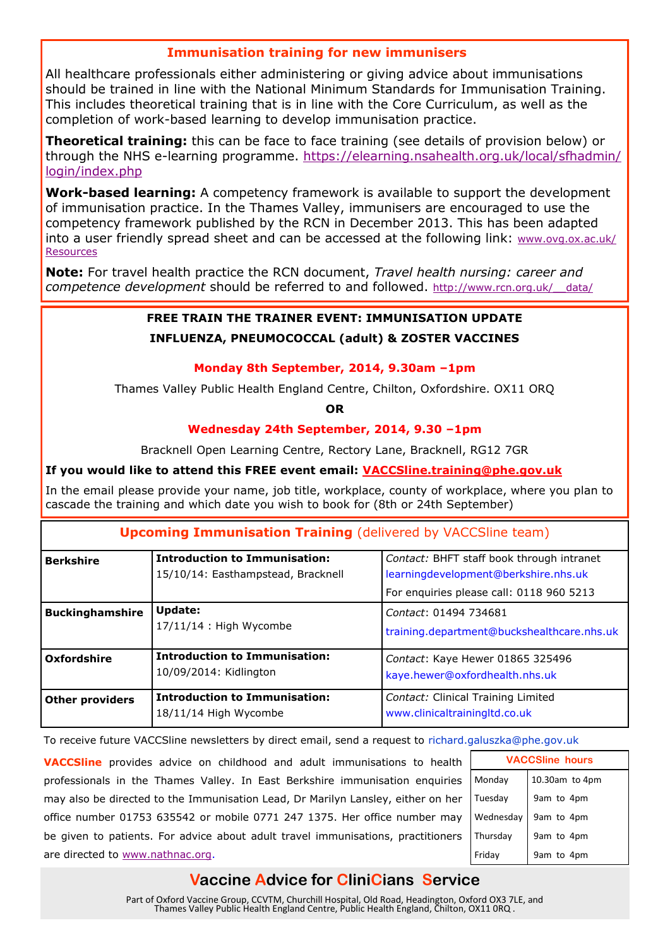### **Immunisation training for new immunisers**

All healthcare professionals either administering or giving advice about immunisations should be trained in line with the National Minimum Standards for Immunisation Training. This includes theoretical training that is in line with the Core Curriculum, as well as the completion of work-based learning to develop immunisation practice.

**Theoretical training:** this can be face to face training (see details of provision below) or through the NHS e-learning programme. [https://elearning.nsahealth.org.uk/local/sfhadmin/](https://elearning.nsahealth.org.uk/local/sfhadmin/login/index.php) [login/index.php](https://elearning.nsahealth.org.uk/local/sfhadmin/login/index.php)

**Work-based learning:** A competency framework is available to support the development of immunisation practice. In the Thames Valley, immunisers are encouraged to use the competency framework published by the RCN in December 2013. This has been adapted into a user friendly spread sheet and can be accessed at the following link: [www.ovg.ox.ac.uk/](http://www.ovg.ox.ac.uk/Resources) **[Resources](http://www.ovg.ox.ac.uk/Resources)** 

**Note:** For travel health practice the RCN document, *Travel health nursing: career and competence development* should be referred to and followed. [http://www.rcn.org.uk/\\_\\_data/](http://www.rcn.org.uk/__data/assets/pdf_file/0006/78747/003146.pdf)

#### **FREE TRAIN THE TRAINER EVENT: IMMUNISATION UPDATE**

#### **INFLUENZA, PNEUMOCOCCAL (adult) & ZOSTER VACCINES**

#### **Monday 8th September, 2014, 9.30am –1pm**

Thames Valley Public Health England Centre, Chilton, Oxfordshire. OX11 ORQ

**OR**

#### **Wednesday 24th September, 2014, 9.30 –1pm**

Bracknell Open Learning Centre, Rectory Lane, Bracknell, RG12 7GR

#### **If you would like to attend this FREE event email: VACCSline.training@phe.gov.uk**

In the email please provide your name, job title, workplace, county of workplace, where you plan to cascade the training and which date you wish to book for (8th or 24th September)

#### **Upcoming Immunisation Training** (delivered by VACCSline team)

| <b>Berkshire</b>       | <b>Introduction to Immunisation:</b><br>15/10/14: Easthampstead, Bracknell | Contact: BHFT staff book through intranet<br>learningdevelopment@berkshire.nhs.uk |
|------------------------|----------------------------------------------------------------------------|-----------------------------------------------------------------------------------|
|                        |                                                                            | For enquiries please call: 0118 960 5213                                          |
| <b>Buckinghamshire</b> | <b>Update:</b><br>$17/11/14$ : High Wycombe                                | Contact: 01494 734681<br>training.department@buckshealthcare.nhs.uk               |
| Oxfordshire            | <b>Introduction to Immunisation:</b><br>10/09/2014: Kidlington             | Contact: Kaye Hewer 01865 325496<br>kaye.hewer@oxfordhealth.nhs.uk                |
| <b>Other providers</b> | <b>Introduction to Immunisation:</b><br>18/11/14 High Wycombe              | Contact: Clinical Training Limited<br>www.clinicaltrainingltd.co.uk               |

To receive future VACCSline newsletters by direct email, send a request to richard.galuszka@phe.gov.uk

**VACCSline** provides advice on childhood and adult immunisations to health professionals in the Thames Valley. In East Berkshire immunisation enquiries may also be directed to the Immunisation Lead, Dr Marilyn Lansley, either on her office number 01753 635542 or mobile 0771 247 1375. Her office number may be given to patients. For advice about adult travel immunisations, practitioners are directed to [www.nathnac.org.](https://owa.nexus.ox.ac.uk/owa/redir.aspx?C=oh69FxwwwUqawgvOL-fGfZXxNE69EtAIRIhJ9IDgF759jlU35j1XFEUJrBVU_3tuCyw8hwO0mDs.&URL=http%3a%2f%2fwww.nathnac.org)

| <b>VACCSline hours</b> |                |  |
|------------------------|----------------|--|
| Monday                 | 10.30am to 4pm |  |
| Tuesday                | 9am to 4pm     |  |
| Wednesday              | 9am to 4pm     |  |
| Thursday               | 9am to 4pm     |  |
| Friday                 | 9am to 4pm     |  |

# **Vaccine Advice for CliniCians Service**

Part of Oxford Vaccine Group, CCVTM, Churchill Hospital, Old Road, Headington, Oxford OX3 7LE, and Thames Valley Public Health England Centre, Public Health England, Chilton, OX11 0RQ .